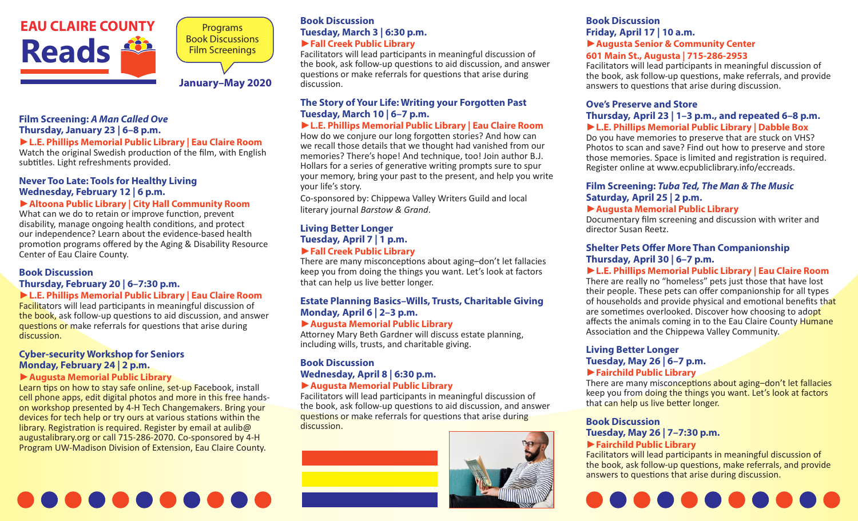

Programs Book Discussions Film Screenings

#### **January–May 2020**

#### **Film Screening:** *A Man Called Ove* **Thursday, January 23 | 6–8 p.m.**

#### ►**L.E. Phillips Memorial Public Library | Eau Claire Room**

Watch the original Swedish production of the film, with English subtitles. Light refreshments provided.

#### **Never Too Late: Tools for Healthy Living Wednesday, February 12 | 6 p.m.**

#### ►**Altoona Public Library | City Hall Community Room**

What can we do to retain or improve function, prevent disability, manage ongoing health conditions, and protect our independence? Learn about the evidence-based health promotion programs offered by the Aging & Disability Resource Center of Eau Claire County.

#### **Book Discussion Thursday, February 20 | 6–7:30 p.m.**  ►**L.E. Phillips Memorial Public Library | Eau Claire Room**

Facilitators will lead participants in meaningful discussion of the book, ask follow-up questions to aid discussion, and answer questions or make referrals for questions that arise during discussion.

#### **Cyber-security Workshop for Seniors Monday, February 24 | 2 p.m.**

#### ►**Augusta Memorial Public Library**

Learn tips on how to stay safe online, set-up Facebook, install cell phone apps, edit digital photos and more in this free handson workshop presented by 4-H Tech Changemakers. Bring your devices for tech help or try ours at various stations within the library. Registration is required. Register by email at [aulib@](http://aulib@augustalibrary.org) [augustalibrary.org](http://aulib@augustalibrary.org) or call 715-286-2070. Co-sponsored by 4-H Program UW-Madison Division of Extension, Eau Claire County.

# . . . . . . .

#### **Book Discussion Tuesday, March 3 | 6:30 p.m.**  ►**Fall Creek Public Library**

Facilitators will lead participants in meaningful discussion of the book, ask follow-up questions to aid discussion, and answer questions or make referrals for questions that arise during discussion.

#### **The Story of Your Life: Writing your Forgotten Past Tuesday, March 10 | 6–7 p.m.**

#### ►**L.E. Phillips Memorial Public Library | Eau Claire Room**

How do we conjure our long forgotten stories? And how can we recall those details that we thought had vanished from our memories? There's hope! And technique, too! Join author B.J. Hollars for a series of generative writing prompts sure to spur your memory, bring your past to the present, and help you write your life's story.

Co-sponsored by: Chippewa Valley Writers Guild and local literary journal *Barstow & Grand*.

#### **Living Better Longer Tuesday, April 7 | 1 p.m.** ►**Fall Creek Public Library**

There are many misconceptions about aging–don't let fallacies keep you from doing the things you want. Let's look at factors that can help us live better longer.

#### **Estate Planning Basics–Wills, Trusts, Charitable Giving Monday, April 6 | 2–3 p.m.**

#### ►**Augusta Memorial Public Library**

Attorney Mary Beth Gardner will discuss estate planning, including wills, trusts, and charitable giving.

#### **Book Discussion Wednesday, April 8 | 6:30 p.m.**

#### ►**Augusta Memorial Public Library**

Facilitators will lead participants in meaningful discussion of the book, ask follow-up questions to aid discussion, and answer questions or make referrals for questions that arise during discussion.



#### **Book Discussion Friday, April 17 | 10 a.m.**  ►**Augusta Senior & Community Center 601 Main St., Augusta | 715-286-2953**

Facilitators will lead participants in meaningful discussion of the book, ask follow-up questions, make referrals, and provide answers to questions that arise during discussion.

#### **Ove's Preserve and Store Thursday, April 23 | 1–3 p.m., and repeated 6–8 p.m.**

#### ►**L.E. Phillips Memorial Public Library | Dabble Box**

Do you have memories to preserve that are stuck on VHS? Photos to scan and save? Find out how to preserve and store those memories. Space is limited and registration is required. Register online at www.ecpubliclibrary.info/eccreads.

#### **Film Screening:** *Tuba Ted, The Man & The Music* **Saturday, April 25 | 2 p.m.**

#### ►**Augusta Memorial Public Library**

Documentary film screening and discussion with writer and director Susan Reetz.

#### **Shelter Pets Offer More Than Companionship Thursday, April 30 | 6–7 p.m.**

#### ►**L.E. Phillips Memorial Public Library | Eau Claire Room**

There are really no "homeless" pets just those that have lost their people. These pets can offer companionship for all types of households and provide physical and emotional benefits that are sometimes overlooked. Discover how choosing to adopt affects the animals coming in to the Eau Claire County Humane Association and the Chippewa Valley Community.

#### **Living Better Longer Tuesday, May 26 | 6–7 p.m.**  ►**Fairchild Public Library**

There are many misconceptions about aging–don't let fallacies keep you from doing the things you want. Let's look at factors that can help us live better longer.

### **Book Discussion**

## **Tuesday, May 26 | 7–7:30 p.m.**

#### ►**Fairchild Public Library**

Facilitators will lead participants in meaningful discussion of the book, ask follow-up questions, make referrals, and provide answers to questions that arise during discussion.